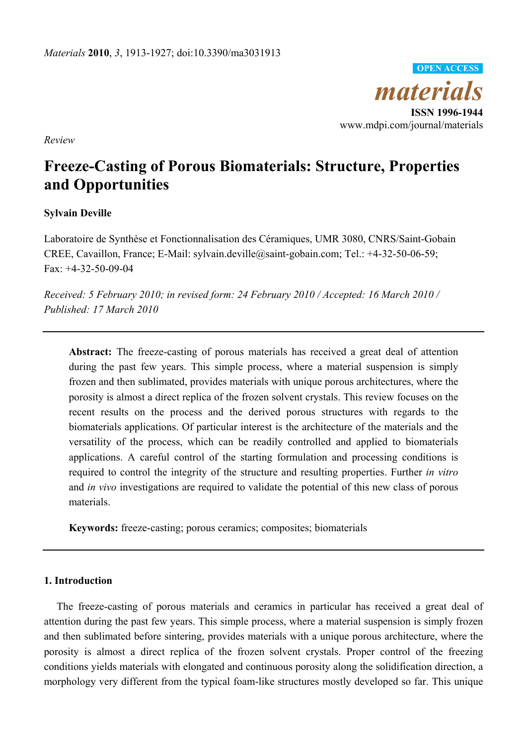*materials* **ISSN 1996-1944**  www.mdpi.com/journal/materials **OPEN ACCESS**

*Review* 

# **Freeze-Casting of Porous Biomaterials: Structure, Properties and Opportunities**

# **Sylvain Deville**

Laboratoire de Synthèse et Fonctionnalisation des Céramiques, UMR 3080, CNRS/Saint-Gobain CREE, Cavaillon, France; E-Mail: sylvain.deville@saint-gobain.com; Tel.: +4-32-50-06-59;  $Fax + 4-32-50-09-04$ 

*Received: 5 February 2010; in revised form: 24 February 2010 / Accepted: 16 March 2010 / Published: 17 March 2010* 

**Abstract:** The freeze-casting of porous materials has received a great deal of attention during the past few years. This simple process, where a material suspension is simply frozen and then sublimated, provides materials with unique porous architectures, where the porosity is almost a direct replica of the frozen solvent crystals. This review focuses on the recent results on the process and the derived porous structures with regards to the biomaterials applications. Of particular interest is the architecture of the materials and the versatility of the process, which can be readily controlled and applied to biomaterials applications. A careful control of the starting formulation and processing conditions is required to control the integrity of the structure and resulting properties. Further *in vitro* and *in vivo* investigations are required to validate the potential of this new class of porous materials.

**Keywords:** freeze-casting; porous ceramics; composites; biomaterials

### **1. Introduction**

The freeze-casting of porous materials and ceramics in particular has received a great deal of attention during the past few years. This simple process, where a material suspension is simply frozen and then sublimated before sintering, provides materials with a unique porous architecture, where the porosity is almost a direct replica of the frozen solvent crystals. Proper control of the freezing conditions yields materials with elongated and continuous porosity along the solidification direction, a morphology very different from the typical foam-like structures mostly developed so far. This unique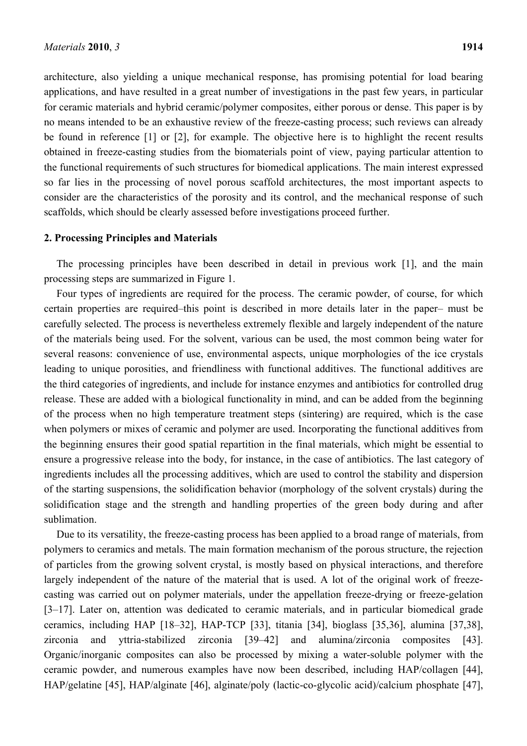architecture, also yielding a unique mechanical response, has promising potential for load bearing applications, and have resulted in a great number of investigations in the past few years, in particular for ceramic materials and hybrid ceramic/polymer composites, either porous or dense. This paper is by no means intended to be an exhaustive review of the freeze-casting process; such reviews can already be found in reference [1] or [2], for example. The objective here is to highlight the recent results obtained in freeze-casting studies from the biomaterials point of view, paying particular attention to the functional requirements of such structures for biomedical applications. The main interest expressed so far lies in the processing of novel porous scaffold architectures, the most important aspects to consider are the characteristics of the porosity and its control, and the mechanical response of such scaffolds, which should be clearly assessed before investigations proceed further.

#### **2. Processing Principles and Materials**

The processing principles have been described in detail in previous work [1], and the main processing steps are summarized in Figure 1.

Four types of ingredients are required for the process. The ceramic powder, of course, for which certain properties are required–this point is described in more details later in the paper– must be carefully selected. The process is nevertheless extremely flexible and largely independent of the nature of the materials being used. For the solvent, various can be used, the most common being water for several reasons: convenience of use, environmental aspects, unique morphologies of the ice crystals leading to unique porosities, and friendliness with functional additives. The functional additives are the third categories of ingredients, and include for instance enzymes and antibiotics for controlled drug release. These are added with a biological functionality in mind, and can be added from the beginning of the process when no high temperature treatment steps (sintering) are required, which is the case when polymers or mixes of ceramic and polymer are used. Incorporating the functional additives from the beginning ensures their good spatial repartition in the final materials, which might be essential to ensure a progressive release into the body, for instance, in the case of antibiotics. The last category of ingredients includes all the processing additives, which are used to control the stability and dispersion of the starting suspensions, the solidification behavior (morphology of the solvent crystals) during the solidification stage and the strength and handling properties of the green body during and after sublimation.

Due to its versatility, the freeze-casting process has been applied to a broad range of materials, from polymers to ceramics and metals. The main formation mechanism of the porous structure, the rejection of particles from the growing solvent crystal, is mostly based on physical interactions, and therefore largely independent of the nature of the material that is used. A lot of the original work of freezecasting was carried out on polymer materials, under the appellation freeze-drying or freeze-gelation [3–17]. Later on, attention was dedicated to ceramic materials, and in particular biomedical grade ceramics, including HAP [18–32], HAP-TCP [33], titania [34], bioglass [35,36], alumina [37,38], zirconia and yttria-stabilized zirconia [39–42] and alumina/zirconia composites [43]. Organic/inorganic composites can also be processed by mixing a water-soluble polymer with the ceramic powder, and numerous examples have now been described, including HAP/collagen [44], HAP/gelatine [45], HAP/alginate [46], alginate/poly (lactic-co-glycolic acid)/calcium phosphate [47],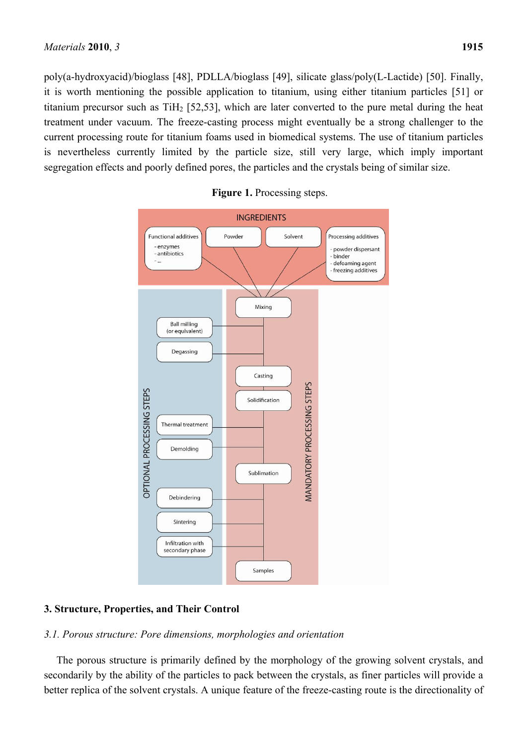poly(a-hydroxyacid)/bioglass [48], PDLLA/bioglass [49], silicate glass/poly(L-Lactide) [50]. Finally, it is worth mentioning the possible application to titanium, using either titanium particles [51] or titanium precursor such as  $TiH<sub>2</sub>$  [52,53], which are later converted to the pure metal during the heat treatment under vacuum. The freeze-casting process might eventually be a strong challenger to the current processing route for titanium foams used in biomedical systems. The use of titanium particles is nevertheless currently limited by the particle size, still very large, which imply important segregation effects and poorly defined pores, the particles and the crystals being of similar size.





# **3. Structure, Properties, and Their Control**

### *3.1. Porous structure: Pore dimensions, morphologies and orientation*

The porous structure is primarily defined by the morphology of the growing solvent crystals, and secondarily by the ability of the particles to pack between the crystals, as finer particles will provide a better replica of the solvent crystals. A unique feature of the freeze-casting route is the directionality of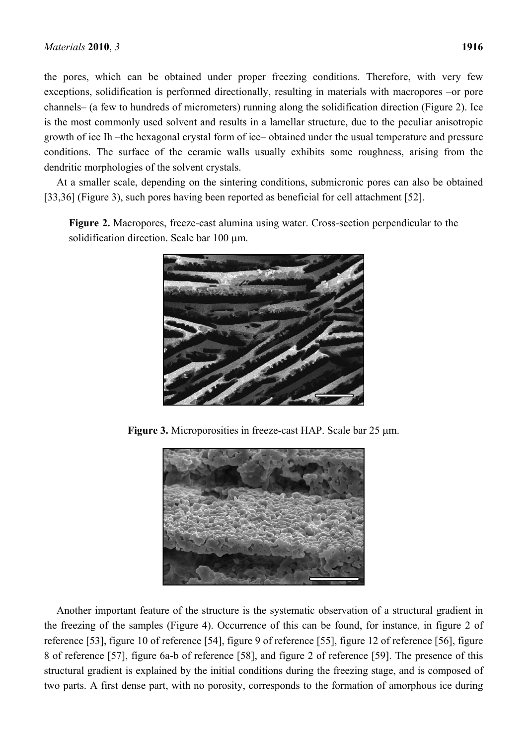the pores, which can be obtained under proper freezing conditions. Therefore, with very few exceptions, solidification is performed directionally, resulting in materials with macropores –or pore channels– (a few to hundreds of micrometers) running along the solidification direction (Figure 2). Ice is the most commonly used solvent and results in a lamellar structure, due to the peculiar anisotropic growth of ice Ih –the hexagonal crystal form of ice– obtained under the usual temperature and pressure conditions. The surface of the ceramic walls usually exhibits some roughness, arising from the dendritic morphologies of the solvent crystals.

At a smaller scale, depending on the sintering conditions, submicronic pores can also be obtained [33,36] (Figure 3), such pores having been reported as beneficial for cell attachment [52].

**Figure 2.** Macropores, freeze-cast alumina using water. Cross-section perpendicular to the solidification direction. Scale bar 100 μm.



**Figure 3.** Microporosities in freeze-cast HAP. Scale bar 25 μm.



Another important feature of the structure is the systematic observation of a structural gradient in the freezing of the samples (Figure 4). Occurrence of this can be found, for instance, in figure 2 of reference [53], figure 10 of reference [54], figure 9 of reference [55], figure 12 of reference [56], figure 8 of reference [57], figure 6a-b of reference [58], and figure 2 of reference [59]. The presence of this structural gradient is explained by the initial conditions during the freezing stage, and is composed of two parts. A first dense part, with no porosity, corresponds to the formation of amorphous ice during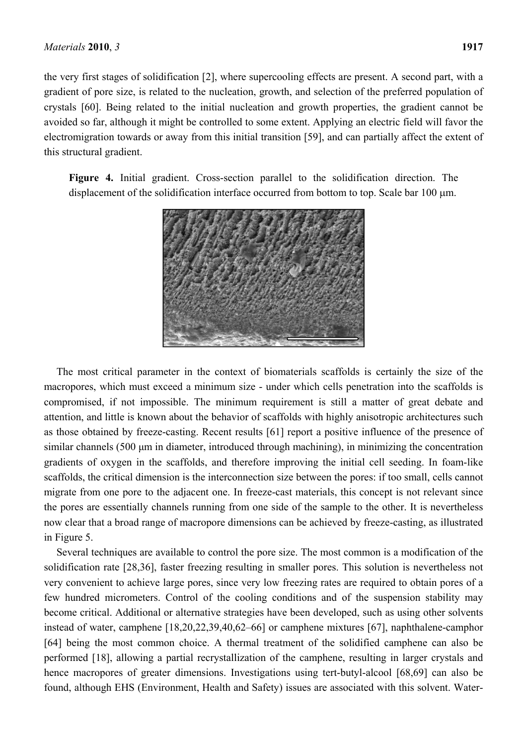the very first stages of solidification [2], where supercooling effects are present. A second part, with a gradient of pore size, is related to the nucleation, growth, and selection of the preferred population of crystals [60]. Being related to the initial nucleation and growth properties, the gradient cannot be avoided so far, although it might be controlled to some extent. Applying an electric field will favor the electromigration towards or away from this initial transition [59], and can partially affect the extent of this structural gradient.

**Figure 4.** Initial gradient. Cross-section parallel to the solidification direction. The displacement of the solidification interface occurred from bottom to top. Scale bar 100 μm.



The most critical parameter in the context of biomaterials scaffolds is certainly the size of the macropores, which must exceed a minimum size - under which cells penetration into the scaffolds is compromised, if not impossible. The minimum requirement is still a matter of great debate and attention, and little is known about the behavior of scaffolds with highly anisotropic architectures such as those obtained by freeze-casting. Recent results [61] report a positive influence of the presence of similar channels (500 μm in diameter, introduced through machining), in minimizing the concentration gradients of oxygen in the scaffolds, and therefore improving the initial cell seeding. In foam-like scaffolds, the critical dimension is the interconnection size between the pores: if too small, cells cannot migrate from one pore to the adjacent one. In freeze-cast materials, this concept is not relevant since the pores are essentially channels running from one side of the sample to the other. It is nevertheless now clear that a broad range of macropore dimensions can be achieved by freeze-casting, as illustrated in Figure 5.

Several techniques are available to control the pore size. The most common is a modification of the solidification rate [28,36], faster freezing resulting in smaller pores. This solution is nevertheless not very convenient to achieve large pores, since very low freezing rates are required to obtain pores of a few hundred micrometers. Control of the cooling conditions and of the suspension stability may become critical. Additional or alternative strategies have been developed, such as using other solvents instead of water, camphene [18,20,22,39,40,62–66] or camphene mixtures [67], naphthalene-camphor [64] being the most common choice. A thermal treatment of the solidified camphene can also be performed [18], allowing a partial recrystallization of the camphene, resulting in larger crystals and hence macropores of greater dimensions. Investigations using tert-butyl-alcool [68,69] can also be found, although EHS (Environment, Health and Safety) issues are associated with this solvent. Water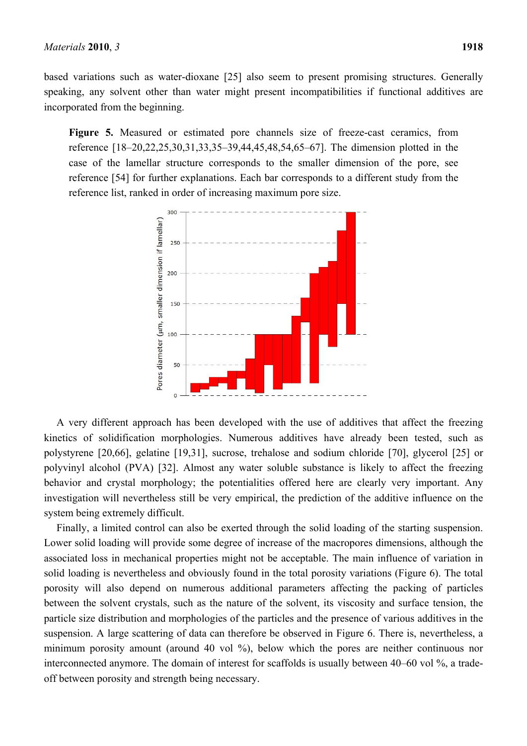based variations such as water-dioxane [25] also seem to present promising structures. Generally speaking, any solvent other than water might present incompatibilities if functional additives are incorporated from the beginning.

**Figure 5.** Measured or estimated pore channels size of freeze-cast ceramics, from reference [18–20,22,25,30,31,33,35–39,44,45,48,54,65–67]. The dimension plotted in the case of the lamellar structure corresponds to the smaller dimension of the pore, see reference [54] for further explanations. Each bar corresponds to a different study from the reference list, ranked in order of increasing maximum pore size.



A very different approach has been developed with the use of additives that affect the freezing kinetics of solidification morphologies. Numerous additives have already been tested, such as polystyrene [20,66], gelatine [19,31], sucrose, trehalose and sodium chloride [70], glycerol [25] or polyvinyl alcohol (PVA) [32]. Almost any water soluble substance is likely to affect the freezing behavior and crystal morphology; the potentialities offered here are clearly very important. Any investigation will nevertheless still be very empirical, the prediction of the additive influence on the system being extremely difficult.

Finally, a limited control can also be exerted through the solid loading of the starting suspension. Lower solid loading will provide some degree of increase of the macropores dimensions, although the associated loss in mechanical properties might not be acceptable. The main influence of variation in solid loading is nevertheless and obviously found in the total porosity variations (Figure 6). The total porosity will also depend on numerous additional parameters affecting the packing of particles between the solvent crystals, such as the nature of the solvent, its viscosity and surface tension, the particle size distribution and morphologies of the particles and the presence of various additives in the suspension. A large scattering of data can therefore be observed in Figure 6. There is, nevertheless, a minimum porosity amount (around 40 vol %), below which the pores are neither continuous nor interconnected anymore. The domain of interest for scaffolds is usually between 40–60 vol %, a tradeoff between porosity and strength being necessary.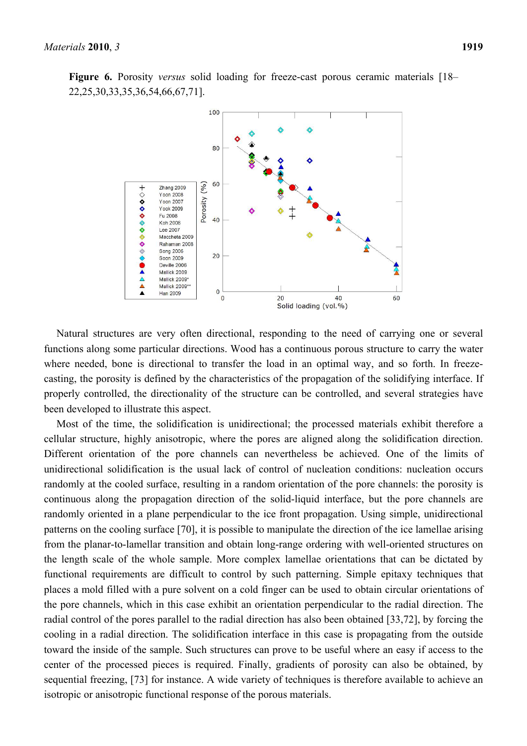

**Figure 6.** Porosity *versus* solid loading for freeze-cast porous ceramic materials [18– 22,25,30,33,35,36,54,66,67,71].

Natural structures are very often directional, responding to the need of carrying one or several functions along some particular directions. Wood has a continuous porous structure to carry the water where needed, bone is directional to transfer the load in an optimal way, and so forth. In freezecasting, the porosity is defined by the characteristics of the propagation of the solidifying interface. If properly controlled, the directionality of the structure can be controlled, and several strategies have been developed to illustrate this aspect.

Most of the time, the solidification is unidirectional; the processed materials exhibit therefore a cellular structure, highly anisotropic, where the pores are aligned along the solidification direction. Different orientation of the pore channels can nevertheless be achieved. One of the limits of unidirectional solidification is the usual lack of control of nucleation conditions: nucleation occurs randomly at the cooled surface, resulting in a random orientation of the pore channels: the porosity is continuous along the propagation direction of the solid-liquid interface, but the pore channels are randomly oriented in a plane perpendicular to the ice front propagation. Using simple, unidirectional patterns on the cooling surface [70], it is possible to manipulate the direction of the ice lamellae arising from the planar-to-lamellar transition and obtain long-range ordering with well-oriented structures on the length scale of the whole sample. More complex lamellae orientations that can be dictated by functional requirements are difficult to control by such patterning. Simple epitaxy techniques that places a mold filled with a pure solvent on a cold finger can be used to obtain circular orientations of the pore channels, which in this case exhibit an orientation perpendicular to the radial direction. The radial control of the pores parallel to the radial direction has also been obtained [33,72], by forcing the cooling in a radial direction. The solidification interface in this case is propagating from the outside toward the inside of the sample. Such structures can prove to be useful where an easy if access to the center of the processed pieces is required. Finally, gradients of porosity can also be obtained, by sequential freezing, [73] for instance. A wide variety of techniques is therefore available to achieve an isotropic or anisotropic functional response of the porous materials.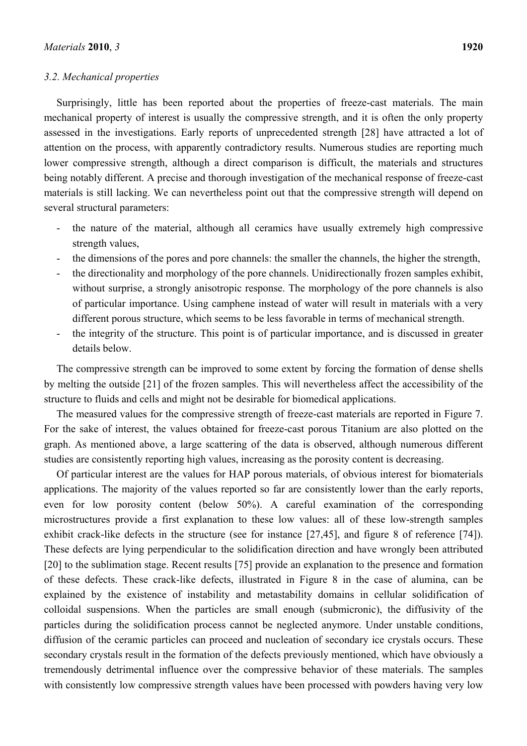#### *3.2. Mechanical properties*

Surprisingly, little has been reported about the properties of freeze-cast materials. The main mechanical property of interest is usually the compressive strength, and it is often the only property assessed in the investigations. Early reports of unprecedented strength [28] have attracted a lot of attention on the process, with apparently contradictory results. Numerous studies are reporting much lower compressive strength, although a direct comparison is difficult, the materials and structures being notably different. A precise and thorough investigation of the mechanical response of freeze-cast materials is still lacking. We can nevertheless point out that the compressive strength will depend on several structural parameters:

- the nature of the material, although all ceramics have usually extremely high compressive strength values,
- the dimensions of the pores and pore channels: the smaller the channels, the higher the strength,
- the directionality and morphology of the pore channels. Unidirectionally frozen samples exhibit, without surprise, a strongly anisotropic response. The morphology of the pore channels is also of particular importance. Using camphene instead of water will result in materials with a very different porous structure, which seems to be less favorable in terms of mechanical strength.
- the integrity of the structure. This point is of particular importance, and is discussed in greater details below.

The compressive strength can be improved to some extent by forcing the formation of dense shells by melting the outside [21] of the frozen samples. This will nevertheless affect the accessibility of the structure to fluids and cells and might not be desirable for biomedical applications.

The measured values for the compressive strength of freeze-cast materials are reported in Figure 7. For the sake of interest, the values obtained for freeze-cast porous Titanium are also plotted on the graph. As mentioned above, a large scattering of the data is observed, although numerous different studies are consistently reporting high values, increasing as the porosity content is decreasing.

Of particular interest are the values for HAP porous materials, of obvious interest for biomaterials applications. The majority of the values reported so far are consistently lower than the early reports, even for low porosity content (below 50%). A careful examination of the corresponding microstructures provide a first explanation to these low values: all of these low-strength samples exhibit crack-like defects in the structure (see for instance [27,45], and figure 8 of reference [74]). These defects are lying perpendicular to the solidification direction and have wrongly been attributed [20] to the sublimation stage. Recent results [75] provide an explanation to the presence and formation of these defects. These crack-like defects, illustrated in Figure 8 in the case of alumina, can be explained by the existence of instability and metastability domains in cellular solidification of colloidal suspensions. When the particles are small enough (submicronic), the diffusivity of the particles during the solidification process cannot be neglected anymore. Under unstable conditions, diffusion of the ceramic particles can proceed and nucleation of secondary ice crystals occurs. These secondary crystals result in the formation of the defects previously mentioned, which have obviously a tremendously detrimental influence over the compressive behavior of these materials. The samples with consistently low compressive strength values have been processed with powders having very low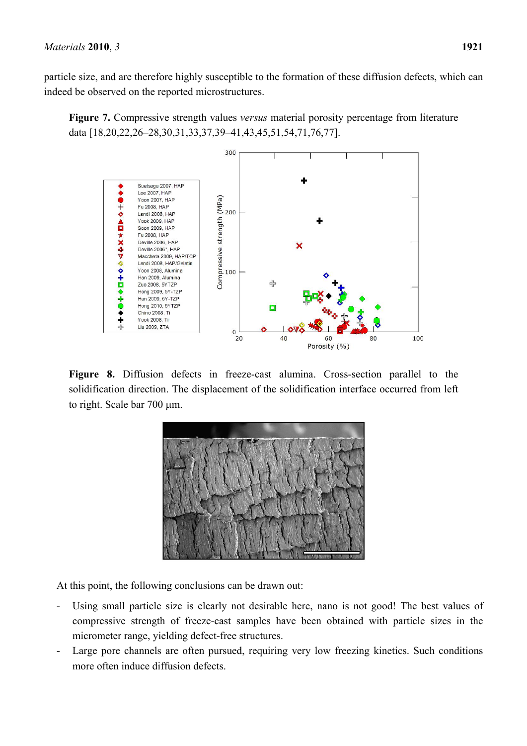**Figure 7.** Compressive strength values *versus* material porosity percentage from literature data [18,20,22,26–28,30,31,33,37,39–41,43,45,51,54,71,76,77].



**Figure 8.** Diffusion defects in freeze-cast alumina. Cross-section parallel to the solidification direction. The displacement of the solidification interface occurred from left to right. Scale bar 700 μm.



At this point, the following conclusions can be drawn out:

- Using small particle size is clearly not desirable here, nano is not good! The best values of compressive strength of freeze-cast samples have been obtained with particle sizes in the micrometer range, yielding defect-free structures.
- Large pore channels are often pursued, requiring very low freezing kinetics. Such conditions more often induce diffusion defects.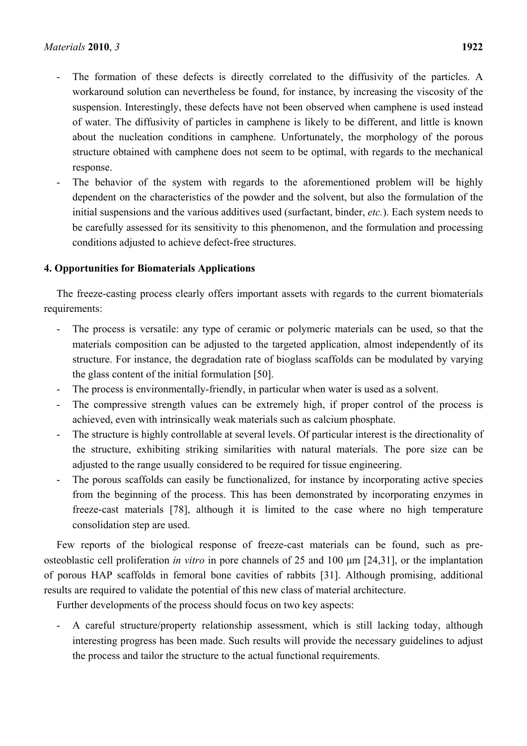- The formation of these defects is directly correlated to the diffusivity of the particles. A workaround solution can nevertheless be found, for instance, by increasing the viscosity of the suspension. Interestingly, these defects have not been observed when camphene is used instead of water. The diffusivity of particles in camphene is likely to be different, and little is known about the nucleation conditions in camphene. Unfortunately, the morphology of the porous structure obtained with camphene does not seem to be optimal, with regards to the mechanical response.
- The behavior of the system with regards to the aforementioned problem will be highly dependent on the characteristics of the powder and the solvent, but also the formulation of the initial suspensions and the various additives used (surfactant, binder, *etc.*). Each system needs to be carefully assessed for its sensitivity to this phenomenon, and the formulation and processing conditions adjusted to achieve defect-free structures.

# **4. Opportunities for Biomaterials Applications**

The freeze-casting process clearly offers important assets with regards to the current biomaterials requirements:

- The process is versatile: any type of ceramic or polymeric materials can be used, so that the materials composition can be adjusted to the targeted application, almost independently of its structure. For instance, the degradation rate of bioglass scaffolds can be modulated by varying the glass content of the initial formulation [50].
- The process is environmentally-friendly, in particular when water is used as a solvent.
- The compressive strength values can be extremely high, if proper control of the process is achieved, even with intrinsically weak materials such as calcium phosphate.
- The structure is highly controllable at several levels. Of particular interest is the directionality of the structure, exhibiting striking similarities with natural materials. The pore size can be adjusted to the range usually considered to be required for tissue engineering.
- The porous scaffolds can easily be functionalized, for instance by incorporating active species from the beginning of the process. This has been demonstrated by incorporating enzymes in freeze-cast materials [78], although it is limited to the case where no high temperature consolidation step are used.

Few reports of the biological response of freeze-cast materials can be found, such as preosteoblastic cell proliferation *in vitro* in pore channels of 25 and 100 μm [24,31], or the implantation of porous HAP scaffolds in femoral bone cavities of rabbits [31]. Although promising, additional results are required to validate the potential of this new class of material architecture.

Further developments of the process should focus on two key aspects:

- A careful structure/property relationship assessment, which is still lacking today, although interesting progress has been made. Such results will provide the necessary guidelines to adjust the process and tailor the structure to the actual functional requirements.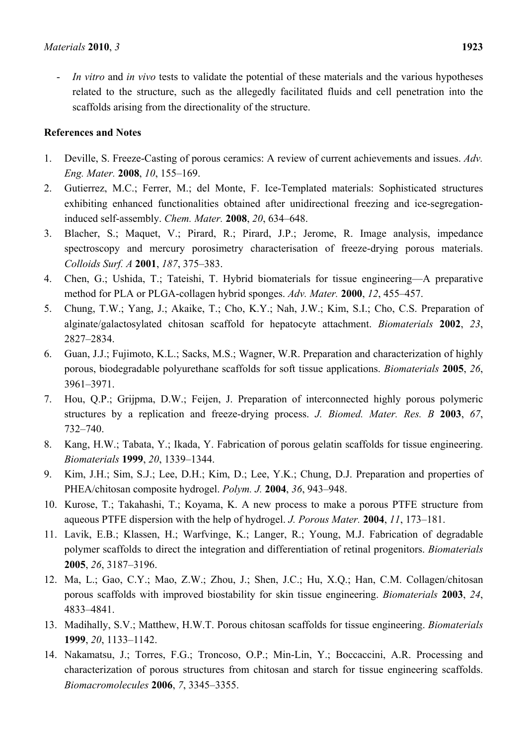- 
- *In vitro* and *in vivo* tests to validate the potential of these materials and the various hypotheses related to the structure, such as the allegedly facilitated fluids and cell penetration into the scaffolds arising from the directionality of the structure.

# **References and Notes**

- 1. Deville, S. Freeze-Casting of porous ceramics: A review of current achievements and issues. *Adv. Eng. Mater.* **2008**, *10*, 155–169.
- 2. Gutierrez, M.C.; Ferrer, M.; del Monte, F. Ice-Templated materials: Sophisticated structures exhibiting enhanced functionalities obtained after unidirectional freezing and ice-segregationinduced self-assembly. *Chem. Mater.* **2008**, *20*, 634–648.
- 3. Blacher, S.; Maquet, V.; Pirard, R.; Pirard, J.P.; Jerome, R. Image analysis, impedance spectroscopy and mercury porosimetry characterisation of freeze-drying porous materials. *Colloids Surf. A* **2001**, *187*, 375–383.
- 4. Chen, G.; Ushida, T.; Tateishi, T. Hybrid biomaterials for tissue engineering—A preparative method for PLA or PLGA-collagen hybrid sponges. *Adv. Mater.* **2000**, *12*, 455–457.
- 5. Chung, T.W.; Yang, J.; Akaike, T.; Cho, K.Y.; Nah, J.W.; Kim, S.I.; Cho, C.S. Preparation of alginate/galactosylated chitosan scaffold for hepatocyte attachment. *Biomaterials* **2002**, *23*, 2827–2834.
- 6. Guan, J.J.; Fujimoto, K.L.; Sacks, M.S.; Wagner, W.R. Preparation and characterization of highly porous, biodegradable polyurethane scaffolds for soft tissue applications. *Biomaterials* **2005**, *26*, 3961–3971.
- 7. Hou, Q.P.; Grijpma, D.W.; Feijen, J. Preparation of interconnected highly porous polymeric structures by a replication and freeze-drying process. *J. Biomed. Mater. Res. B* **2003**, *67*, 732–740.
- 8. Kang, H.W.; Tabata, Y.; Ikada, Y. Fabrication of porous gelatin scaffolds for tissue engineering. *Biomaterials* **1999**, *20*, 1339–1344.
- 9. Kim, J.H.; Sim, S.J.; Lee, D.H.; Kim, D.; Lee, Y.K.; Chung, D.J. Preparation and properties of PHEA/chitosan composite hydrogel. *Polym. J.* **2004**, *36*, 943–948.
- 10. Kurose, T.; Takahashi, T.; Koyama, K. A new process to make a porous PTFE structure from aqueous PTFE dispersion with the help of hydrogel. *J. Porous Mater.* **2004**, *11*, 173–181.
- 11. Lavik, E.B.; Klassen, H.; Warfvinge, K.; Langer, R.; Young, M.J. Fabrication of degradable polymer scaffolds to direct the integration and differentiation of retinal progenitors. *Biomaterials*  **2005**, *26*, 3187–3196.
- 12. Ma, L.; Gao, C.Y.; Mao, Z.W.; Zhou, J.; Shen, J.C.; Hu, X.Q.; Han, C.M. Collagen/chitosan porous scaffolds with improved biostability for skin tissue engineering. *Biomaterials* **2003**, *24*, 4833–4841.
- 13. Madihally, S.V.; Matthew, H.W.T. Porous chitosan scaffolds for tissue engineering. *Biomaterials*  **1999**, *20*, 1133–1142.
- 14. Nakamatsu, J.; Torres, F.G.; Troncoso, O.P.; Min-Lin, Y.; Boccaccini, A.R. Processing and characterization of porous structures from chitosan and starch for tissue engineering scaffolds. *Biomacromolecules* **2006**, *7*, 3345–3355.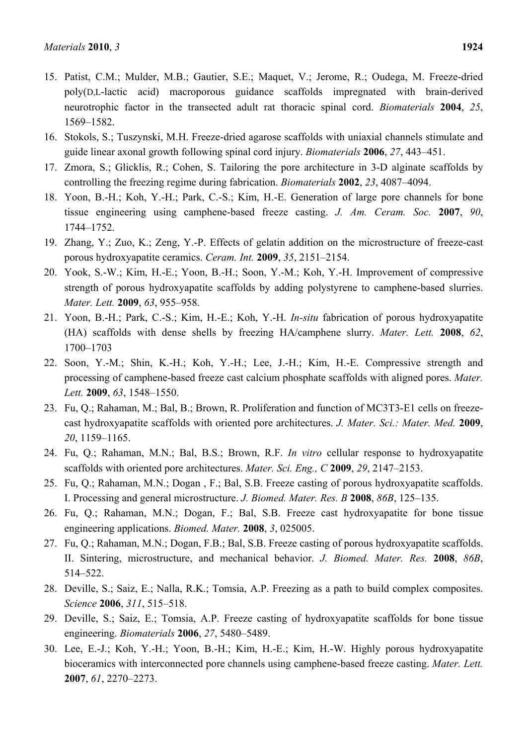- 15. Patist, C.M.; Mulder, M.B.; Gautier, S.E.; Maquet, V.; Jerome, R.; Oudega, M. Freeze-dried poly(D,L-lactic acid) macroporous guidance scaffolds impregnated with brain-derived neurotrophic factor in the transected adult rat thoracic spinal cord. *Biomaterials* **2004**, *25*, 1569–1582.
- 16. Stokols, S.; Tuszynski, M.H. Freeze-dried agarose scaffolds with uniaxial channels stimulate and guide linear axonal growth following spinal cord injury. *Biomaterials* **2006**, *27*, 443–451.
- 17. Zmora, S.; Glicklis, R.; Cohen, S. Tailoring the pore architecture in 3-D alginate scaffolds by controlling the freezing regime during fabrication. *Biomaterials* **2002**, *23*, 4087–4094.
- 18. Yoon, B.-H.; Koh, Y.-H.; Park, C.-S.; Kim, H.-E. Generation of large pore channels for bone tissue engineering using camphene-based freeze casting. *J. Am. Ceram. Soc.* **2007**, *90*, 1744–1752.
- 19. Zhang, Y.; Zuo, K.; Zeng, Y.-P. Effects of gelatin addition on the microstructure of freeze-cast porous hydroxyapatite ceramics. *Ceram. Int.* **2009**, *35*, 2151–2154.
- 20. Yook, S.-W.; Kim, H.-E.; Yoon, B.-H.; Soon, Y.-M.; Koh, Y.-H. Improvement of compressive strength of porous hydroxyapatite scaffolds by adding polystyrene to camphene-based slurries. *Mater. Lett.* **2009**, *63*, 955–958.
- 21. Yoon, B.-H.; Park, C.-S.; Kim, H.-E.; Koh, Y.-H. *In-situ* fabrication of porous hydroxyapatite (HA) scaffolds with dense shells by freezing HA/camphene slurry. *Mater. Lett.* **2008**, *62*, 1700–1703
- 22. Soon, Y.-M.; Shin, K.-H.; Koh, Y.-H.; Lee, J.-H.; Kim, H.-E. Compressive strength and processing of camphene-based freeze cast calcium phosphate scaffolds with aligned pores. *Mater. Lett.* **2009**, *63*, 1548–1550.
- 23. Fu, Q.; Rahaman, M.; Bal, B.; Brown, R. Proliferation and function of MC3T3-E1 cells on freezecast hydroxyapatite scaffolds with oriented pore architectures. *J. Mater. Sci.: Mater. Med.* **2009**, *20*, 1159–1165.
- 24. Fu, Q.; Rahaman, M.N.; Bal, B.S.; Brown, R.F. *In vitro* cellular response to hydroxyapatite scaffolds with oriented pore architectures. *Mater. Sci. Eng., C* **2009**, *29*, 2147–2153.
- 25. Fu, Q.; Rahaman, M.N.; Dogan , F.; Bal, S.B. Freeze casting of porous hydroxyapatite scaffolds. I. Processing and general microstructure. *J. Biomed. Mater. Res. B* **2008**, *86B*, 125–135.
- 26. Fu, Q.; Rahaman, M.N.; Dogan, F.; Bal, S.B. Freeze cast hydroxyapatite for bone tissue engineering applications. *Biomed. Mater.* **2008**, *3*, 025005.
- 27. Fu, Q.; Rahaman, M.N.; Dogan, F.B.; Bal, S.B. Freeze casting of porous hydroxyapatite scaffolds. II. Sintering, microstructure, and mechanical behavior. *J. Biomed. Mater. Res.* **2008**, *86B*, 514–522.
- 28. Deville, S.; Saiz, E.; Nalla, R.K.; Tomsia, A.P. Freezing as a path to build complex composites. *Science* **2006**, *311*, 515–518.
- 29. Deville, S.; Saiz, E.; Tomsia, A.P. Freeze casting of hydroxyapatite scaffolds for bone tissue engineering. *Biomaterials* **2006**, *27*, 5480–5489.
- 30. Lee, E.-J.; Koh, Y.-H.; Yoon, B.-H.; Kim, H.-E.; Kim, H.-W. Highly porous hydroxyapatite bioceramics with interconnected pore channels using camphene-based freeze casting. *Mater. Lett.*  **2007**, *61*, 2270–2273.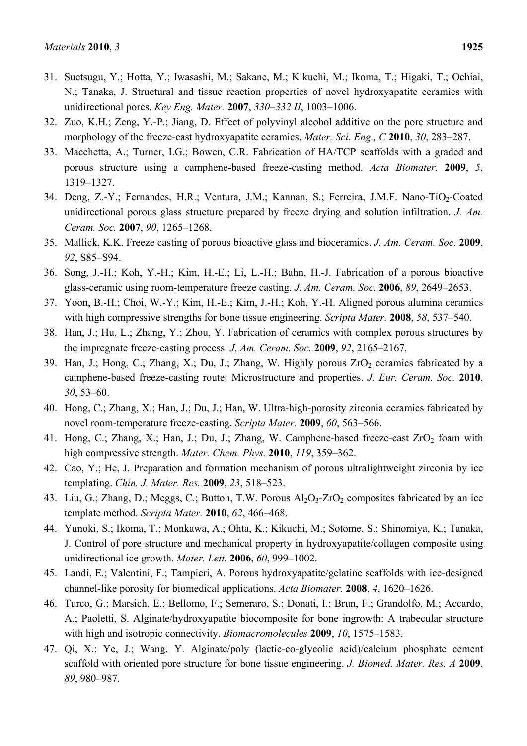- 31. Suetsugu, Y.; Hotta, Y.; Iwasashi, M.; Sakane, M.; Kikuchi, M.; Ikoma, T.; Higaki, T.; Ochiai, N.; Tanaka, J. Structural and tissue reaction properties of novel hydroxyapatite ceramics with unidirectional pores. *Key Eng. Mater.* **2007**, *330–332 II*, 1003–1006.
- 32. Zuo, K.H.; Zeng, Y.-P.; Jiang, D. Effect of polyvinyl alcohol additive on the pore structure and morphology of the freeze-cast hydroxyapatite ceramics. *Mater. Sci. Eng., C* **2010**, *30*, 283–287.
- 33. Macchetta, A.; Turner, I.G.; Bowen, C.R. Fabrication of HA/TCP scaffolds with a graded and porous structure using a camphene-based freeze-casting method. *Acta Biomater.* **2009**, *5*, 1319–1327.
- 34. Deng, Z.-Y.; Fernandes, H.R.; Ventura, J.M.; Kannan, S.; Ferreira, J.M.F. Nano-TiO<sub>2</sub>-Coated unidirectional porous glass structure prepared by freeze drying and solution infiltration. *J. Am. Ceram. Soc.* **2007**, *90*, 1265–1268.
- 35. Mallick, K.K. Freeze casting of porous bioactive glass and bioceramics. *J. Am. Ceram. Soc.* **2009**, *92*, S85–S94.
- 36. Song, J.-H.; Koh, Y.-H.; Kim, H.-E.; Li, L.-H.; Bahn, H.-J. Fabrication of a porous bioactive glass-ceramic using room-temperature freeze casting. *J. Am. Ceram. Soc.* **2006**, *89*, 2649–2653.
- 37. Yoon, B.-H.; Choi, W.-Y.; Kim, H.-E.; Kim, J.-H.; Koh, Y.-H. Aligned porous alumina ceramics with high compressive strengths for bone tissue engineering. *Scripta Mater.* **2008**, *58*, 537–540.
- 38. Han, J.; Hu, L.; Zhang, Y.; Zhou, Y. Fabrication of ceramics with complex porous structures by the impregnate freeze-casting process. *J. Am. Ceram. Soc.* **2009**, *92*, 2165–2167.
- 39. Han, J.; Hong, C.; Zhang, X.; Du, J.; Zhang, W. Highly porous  $ZrO<sub>2</sub>$  ceramics fabricated by a camphene-based freeze-casting route: Microstructure and properties. *J. Eur. Ceram. Soc.* **2010**, *30*, 53–60.
- 40. Hong, C.; Zhang, X.; Han, J.; Du, J.; Han, W. Ultra-high-porosity zirconia ceramics fabricated by novel room-temperature freeze-casting. *Scripta Mater.* **2009**, *60*, 563–566.
- 41. Hong, C.; Zhang, X.; Han, J.; Du, J.; Zhang, W. Camphene-based freeze-cast  $ZrO<sub>2</sub>$  foam with high compressive strength. *Mater. Chem. Phys.* **2010**, *119*, 359–362.
- 42. Cao, Y.; He, J. Preparation and formation mechanism of porous ultralightweight zirconia by ice templating. *Chin. J. Mater. Res.* **2009**, *23*, 518–523.
- 43. Liu, G.; Zhang, D.; Meggs, C.; Button, T.W. Porous  $Al_2O_3$ -ZrO<sub>2</sub> composites fabricated by an ice template method. *Scripta Mater.* **2010**, *62*, 466–468.
- 44. Yunoki, S.; Ikoma, T.; Monkawa, A.; Ohta, K.; Kikuchi, M.; Sotome, S.; Shinomiya, K.; Tanaka, J. Control of pore structure and mechanical property in hydroxyapatite/collagen composite using unidirectional ice growth. *Mater. Lett.* **2006**, *60*, 999–1002.
- 45. Landi, E.; Valentini, F.; Tampieri, A. Porous hydroxyapatite/gelatine scaffolds with ice-designed channel-like porosity for biomedical applications. *Acta Biomater.* **2008**, *4*, 1620–1626.
- 46. Turco, G.; Marsich, E.; Bellomo, F.; Semeraro, S.; Donati, I.; Brun, F.; Grandolfo, M.; Accardo, A.; Paoletti, S. Alginate/hydroxyapatite biocomposite for bone ingrowth: A trabecular structure with high and isotropic connectivity. *Biomacromolecules* **2009**, *10*, 1575–1583.
- 47. Qi, X.; Ye, J.; Wang, Y. Alginate/poly (lactic-co-glycolic acid)/calcium phosphate cement scaffold with oriented pore structure for bone tissue engineering. *J. Biomed. Mater. Res. A* **2009**, *89*, 980–987.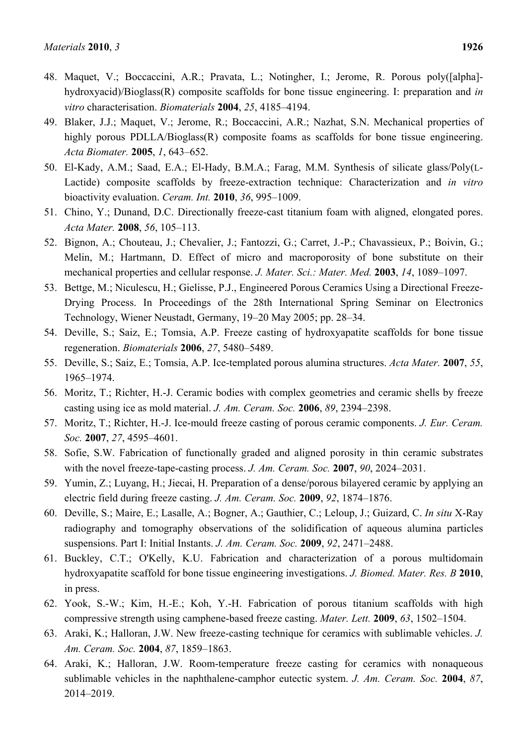- 48. Maquet, V.; Boccaccini, A.R.; Pravata, L.; Notingher, I.; Jerome, R. Porous poly([alpha] hydroxyacid)/Bioglass(R) composite scaffolds for bone tissue engineering. I: preparation and *in vitro* characterisation. *Biomaterials* **2004**, *25*, 4185–4194.
- 49. Blaker, J.J.; Maquet, V.; Jerome, R.; Boccaccini, A.R.; Nazhat, S.N. Mechanical properties of highly porous PDLLA/Bioglass(R) composite foams as scaffolds for bone tissue engineering. *Acta Biomater.* **2005**, *1*, 643–652.
- 50. El-Kady, A.M.; Saad, E.A.; El-Hady, B.M.A.; Farag, M.M. Synthesis of silicate glass/Poly(L-Lactide) composite scaffolds by freeze-extraction technique: Characterization and *in vitro* bioactivity evaluation. *Ceram. Int.* **2010**, *36*, 995–1009.
- 51. Chino, Y.; Dunand, D.C. Directionally freeze-cast titanium foam with aligned, elongated pores. *Acta Mater.* **2008**, *56*, 105–113.
- 52. Bignon, A.; Chouteau, J.; Chevalier, J.; Fantozzi, G.; Carret, J.-P.; Chavassieux, P.; Boivin, G.; Melin, M.; Hartmann, D. Effect of micro and macroporosity of bone substitute on their mechanical properties and cellular response. *J. Mater. Sci.: Mater. Med.* **2003**, *14*, 1089–1097.
- 53. Bettge, M.; Niculescu, H.; Gielisse, P.J., Engineered Porous Ceramics Using a Directional Freeze-Drying Process. In Proceedings of the 28th International Spring Seminar on Electronics Technology, Wiener Neustadt, Germany, 19–20 May 2005; pp. 28–34.
- 54. Deville, S.; Saiz, E.; Tomsia, A.P. Freeze casting of hydroxyapatite scaffolds for bone tissue regeneration. *Biomaterials* **2006**, *27*, 5480–5489.
- 55. Deville, S.; Saiz, E.; Tomsia, A.P. Ice-templated porous alumina structures. *Acta Mater.* **2007**, *55*, 1965–1974.
- 56. Moritz, T.; Richter, H.-J. Ceramic bodies with complex geometries and ceramic shells by freeze casting using ice as mold material. *J. Am. Ceram. Soc.* **2006**, *89*, 2394–2398.
- 57. Moritz, T.; Richter, H.-J. Ice-mould freeze casting of porous ceramic components. *J. Eur. Ceram. Soc.* **2007**, *27*, 4595–4601.
- 58. Sofie, S.W. Fabrication of functionally graded and aligned porosity in thin ceramic substrates with the novel freeze-tape-casting process. *J. Am. Ceram. Soc.* **2007**, *90*, 2024–2031.
- 59. Yumin, Z.; Luyang, H.; Jiecai, H. Preparation of a dense/porous bilayered ceramic by applying an electric field during freeze casting. *J. Am. Ceram. Soc.* **2009**, *92*, 1874–1876.
- 60. Deville, S.; Maire, E.; Lasalle, A.; Bogner, A.; Gauthier, C.; Leloup, J.; Guizard, C. *In situ* X-Ray radiography and tomography observations of the solidification of aqueous alumina particles suspensions. Part I: Initial Instants. *J. Am. Ceram. Soc.* **2009**, *92*, 2471–2488.
- 61. Buckley, C.T.; O'Kelly, K.U. Fabrication and characterization of a porous multidomain hydroxyapatite scaffold for bone tissue engineering investigations. *J. Biomed. Mater. Res. B* **2010**, in press.
- 62. Yook, S.-W.; Kim, H.-E.; Koh, Y.-H. Fabrication of porous titanium scaffolds with high compressive strength using camphene-based freeze casting. *Mater. Lett.* **2009**, *63*, 1502–1504.
- 63. Araki, K.; Halloran, J.W. New freeze-casting technique for ceramics with sublimable vehicles. *J. Am. Ceram. Soc.* **2004**, *87*, 1859–1863.
- 64. Araki, K.; Halloran, J.W. Room-temperature freeze casting for ceramics with nonaqueous sublimable vehicles in the naphthalene-camphor eutectic system. *J. Am. Ceram. Soc.* **2004**, *87*, 2014–2019.